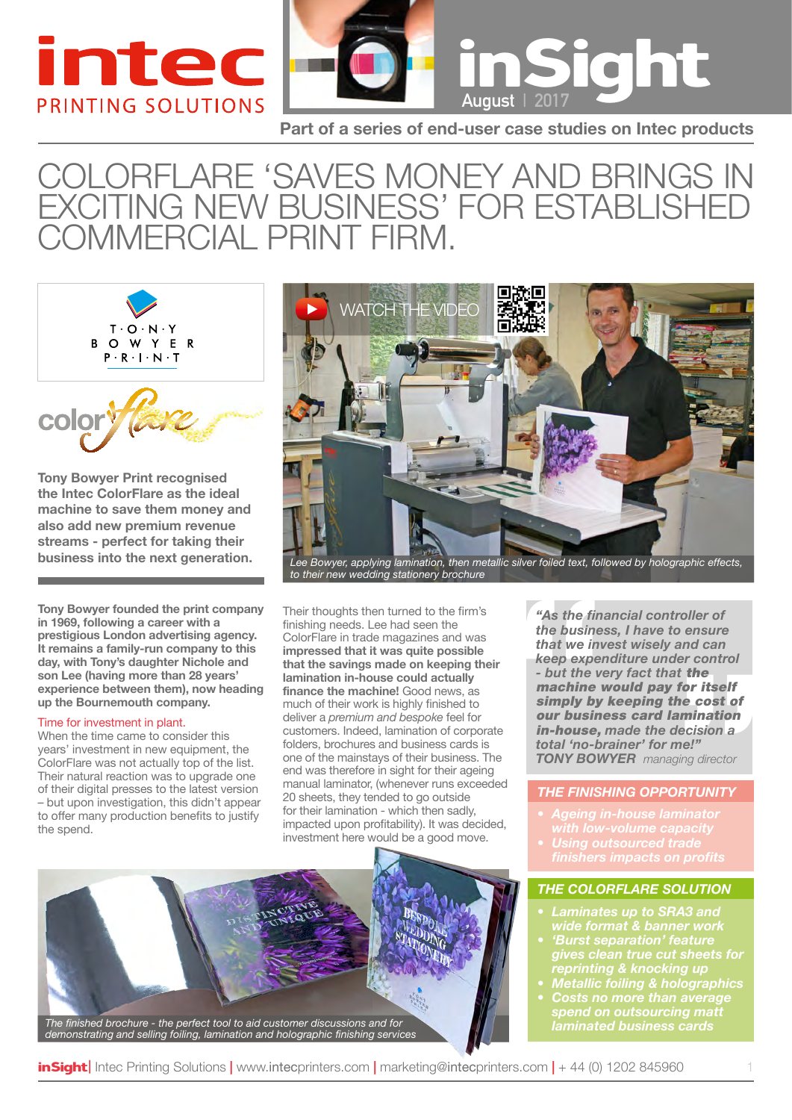



**Part of a series of end-user case studies on Intec products**

### ColorFlare 'Saves Money and brings in exciting NEW business' for established COMMERCIAL print firm.



**Tony Bowyer Print recognised the Intec ColorFlare as the ideal machine to save them money and also add new premium revenue streams - perfect for taking their** 

**Tony Bowyer founded the print company in 1969, following a career with a prestigious London advertising agency. It remains a family-run company to this day, with Tony's daughter Nichole and son Lee (having more than 28 years' experience between them), now heading up the Bournemouth company.**

#### Time for investment in plant.

When the time came to consider this years' investment in new equipment, the ColorFlare was not actually top of the list. Their natural reaction was to upgrade one of their digital presses to the latest version – but upon investigation, this didn't appear to offer many production benefits to justify the spend.



*to their new wedding stationery brochure*

Their thoughts then turned to the firm's finishing needs. Lee had seen the ColorFlare in trade magazines and was **impressed that it was quite possible that the savings made on keeping their lamination in-house could actually finance the machine!** Good news, as much of their work is highly finished to deliver a *premium and bespoke* feel for customers. Indeed, lamination of corporate folders, brochures and business cards is one of the mainstays of their business. The end was therefore in sight for their ageing manual laminator, (whenever runs exceeded 20 sheets, they tended to go outside for their lamination - which then sadly, impacted upon profitability). It was decided, investment here would be a good move.

*laminated business cards The finished brochure - the perfect tool to aid customer discussions and for demonstrating and selling foiling, lamination and holographic finishing services* *"As the financial controller of the business, I have to ensure that we invest wisely and can keep expenditure under control - but the very fact that* the machine would pay for itself simply by keeping the cost of our business card lamination in-house, *made the decision a total 'no-brainer' for me!" Tony Bowyer managing director*

#### *The Finishing opportunity*

- 
- 

#### *The ColorFlare Solution*

- *• Laminates up to SRA3 and*
- *• 'Burst separation' feature gives clean true cut sheets for reprinting & knocking up*
- *• Metallic foiling & holographics*
- *• Costs no more than average spend on outsourcing matt*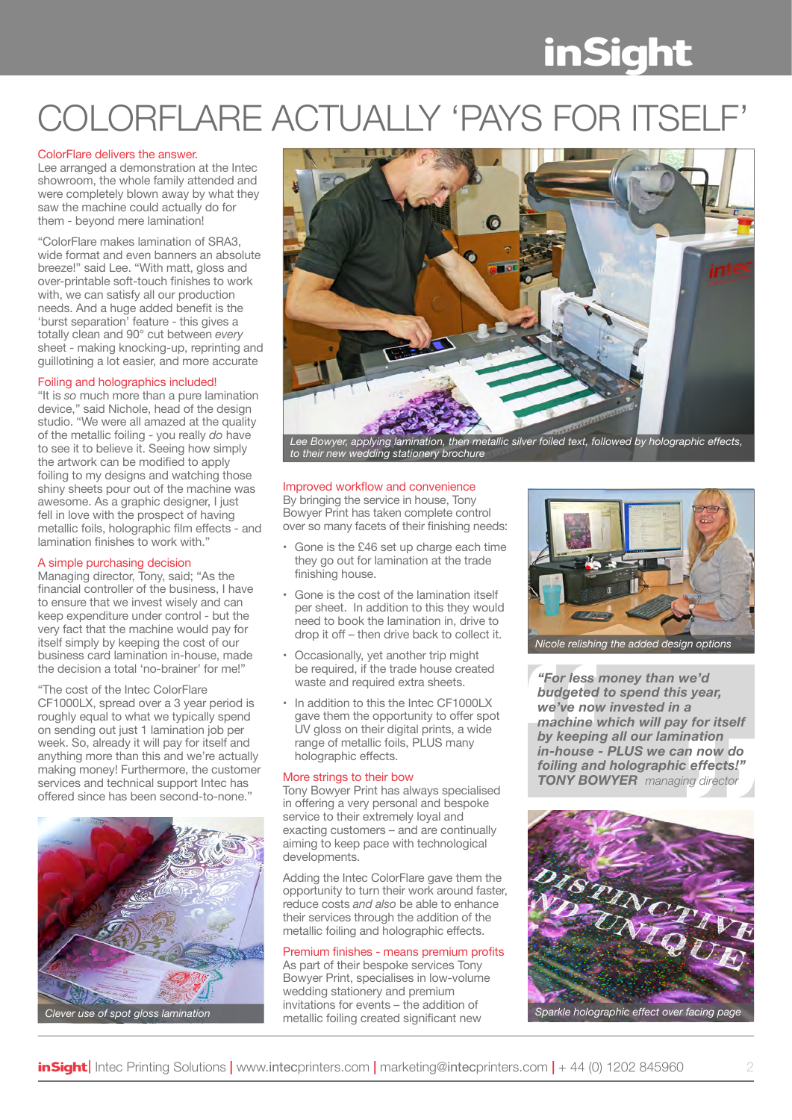# **inSight**

## COLORFLARE ACTUALLY 'PAYS FOR ITSE

#### ColorFlare delivers the answer.

Lee arranged a demonstration at the Intec showroom, the whole family attended and were completely blown away by what they saw the machine could actually do for them - beyond mere lamination!

"ColorFlare makes lamination of SRA3, wide format and even banners an absolute breeze!" said Lee. "With matt, gloss and over-printable soft-touch finishes to work with, we can satisfy all our production needs. And a huge added benefit is the 'burst separation' feature - this gives a totally clean and 90° cut between *every* sheet - making knocking-up, reprinting and guillotining a lot easier, and more accurate

#### Foiling and holographics included!

"It is *so* much more than a pure lamination device," said Nichole, head of the design studio. "We were all amazed at the quality of the metallic foiling - you really *do* have to see it to believe it. Seeing how simply the artwork can be modified to apply foiling to my designs and watching those shiny sheets pour out of the machine was awesome. As a graphic designer, I just fell in love with the prospect of having metallic foils, holographic film effects - and lamination finishes to work with."

#### A simple purchasing decision

Managing director, Tony, said; "As the financial controller of the business, I have to ensure that we invest wisely and can keep expenditure under control - but the very fact that the machine would pay for itself simply by keeping the cost of our business card lamination in-house, made the decision a total 'no-brainer' for me!"

"The cost of the Intec ColorFlare CF1000LX, spread over a 3 year period is roughly equal to what we typically spend on sending out just 1 lamination job per week. So, already it will pay for itself and anything more than this and we're actually making money! Furthermore, the customer services and technical support Intec has offered since has been second-to-none."





*Lee Bowyer, applying lamination, then metallic silver foiled text, followed by holographic effects, to their new wedding stationery brochure*

### Improved workflow and convenience

By bringing the service in house, Tony Bowyer Print has taken complete control over so many facets of their finishing needs:

- Gone is the £46 set up charge each time they go out for lamination at the trade finishing house.
- Gone is the cost of the lamination itself per sheet. In addition to this they would need to book the lamination in, drive to drop it off – then drive back to collect it.
- Occasionally, yet another trip might be required, if the trade house created waste and required extra sheets.
- In addition to this the Intec CF1000LX gave them the opportunity to offer spot UV gloss on their digital prints, a wide range of metallic foils, PLUS many holographic effects.

#### More strings to their bow

Tony Bowyer Print has always specialised in offering a very personal and bespoke service to their extremely loyal and exacting customers – and are continually aiming to keep pace with technological developments.

Adding the Intec ColorFlare gave them the opportunity to turn their work around faster, reduce costs *and also* be able to enhance their services through the addition of the metallic foiling and holographic effects.

#### Premium finishes - means premium profits

As part of their bespoke services Tony Bowyer Print, specialises in low-volume wedding stationery and premium invitations for events – the addition of



*"For less money than we'd budgeted to spend this year, we've now invested in a machine which will pay for itself by keeping all our lamination in-house - PLUS we can now do foiling and holographic effects!" Tony Bowyer managing director*